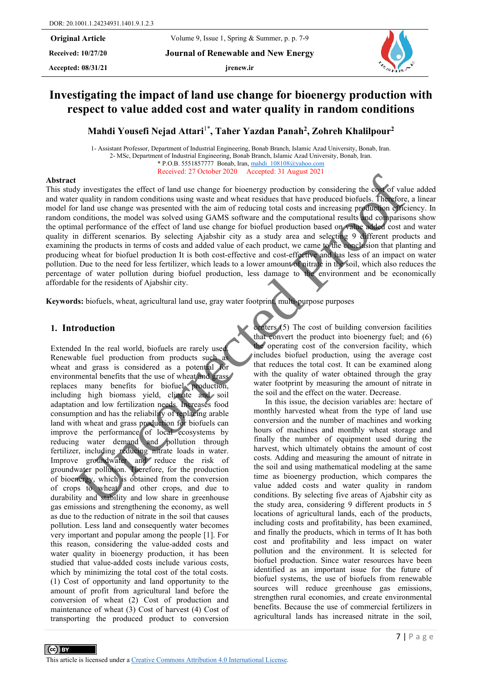**Received: 10/27/20 Journal of Renewable and New Energy**

**Accepted: 08/31/21 jrenew.ir**

# **Investigating the impact of land use change for bioenergy production with respect to value added cost and water quality in random conditions**

**Mahdi Yousefi Nejad Attari**1\***, Taher Yazdan Panah2, Zohreh Khalilpour2**

1- Assistant Professor, Department of Industrial Engineering, Bonab Branch, Islamic Azad University, Bonab, Iran. 2- MSc, Department of Industrial Engineering, Bonab Branch, Islamic Azad University, Bonab, Iran. \* P.O.B. 5551857777 Bonab, Iran, [mahdi\\_108108@yahoo.com](mailto:mahdi_108108@yahoo.com) Received: 27 October 2020 Accepted: 31 August 2021

#### **Abstract**

This study investigates the effect of land use change for bioenergy production by considering the cost of value added and water quality in random conditions using waste and wheat residues that have produced biofuels. Therefore, a linear model for land use change was presented with the aim of reducing total costs and increasing production efficiency. In random conditions, the model was solved using GAMS software and the computational results and comparisons show the optimal performance of the effect of land use change for biofuel production based on value added cost and water quality in different scenarios. By selecting Ajabshir city as a study area and selecting 9 different products and examining the products in terms of costs and added value of each product, we came to the conclusion that planting and producing wheat for biofuel production It is both cost-effective and cost-effective and has less of an impact on water pollution. Due to the need for less fertilizer, which leads to a lower amount of nitrate in the soil, which also reduces the percentage of water pollution during biofuel production, less damage to the environment and be economically affordable for the residents of Ajabshir city. Ny investigates the effect of failure context in the context of the context of the same for the relation by ending the control of the main of the same of the same of the same of the same of the same of the same of the sam

**Keywords:** biofuels, wheat, agricultural land use, gray water footprint, multi-purpose purposes

## **1. Introduction**

Extended In the real world, biofuels are rarely used. Renewable fuel production from products such as wheat and grass is considered as a potential for environmental benefits that the use of wheat and grass replaces many benefits for biofuel production, including high biomass yield, climate and soil adaptation and low fertilization needs. Increases food consumption and has the reliability of replacing arable land with wheat and grass production for biofuels can improve the performance of local ecosystems by reducing water demand and pollution through fertilizer, including reducing nitrate loads in water. Improve groundwater and reduce the risk of groundwater pollution. Therefore, for the production of bioenergy, which is obtained from the conversion of crops to wheat and other crops, and due to durability and stability and low share in greenhouse gas emissions and strengthening the economy, as well as due to the reduction of nitrate in the soil that causes pollution. Less land and consequently water becomes very important and popular among the people [1]. For this reason, considering the value-added costs and water quality in bioenergy production, it has been studied that value-added costs include various costs, which by minimizing the total cost of the total costs. (1) Cost of opportunity and land opportunity to the amount of profit from agricultural land before the conversion of wheat (2) Cost of production and maintenance of wheat (3) Cost of harvest (4) Cost of transporting the produced product to conversion

centers (5) The cost of building conversion facilities that convert the product into bioenergy fuel; and (6) the operating cost of the conversion facility, which includes biofuel production, using the average cost that reduces the total cost. It can be examined along with the quality of water obtained through the gray water footprint by measuring the amount of nitrate in the soil and the effect on the water. Decrease.

In this issue, the decision variables are: hectare of monthly harvested wheat from the type of land use conversion and the number of machines and working hours of machines and monthly wheat storage and finally the number of equipment used during the harvest, which ultimately obtains the amount of cost costs. Adding and measuring the amount of nitrate in the soil and using mathematical modeling at the same time as bioenergy production, which compares the value added costs and water quality in random conditions. By selecting five areas of Ajabshir city as the study area, considering 9 different products in 5 locations of agricultural lands, each of the products, including costs and profitability, has been examined, and finally the products, which in terms of It has both cost and profitability and less impact on water pollution and the environment. It is selected for biofuel production. Since water resources have been identified as an important issue for the future of biofuel systems, the use of biofuels from renewable sources will reduce greenhouse gas emissions, strengthen rural economies, and create environmental benefits. Because the use of commercial fertilizers in agricultural lands has increased nitrate in the soil,

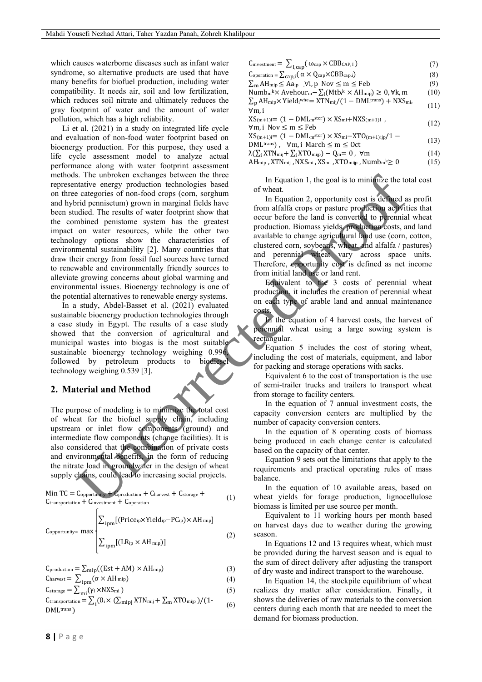which causes waterborne diseases such as infant water syndrome, so alternative products are used that have many benefits for biofuel production, including water compatibility. It needs air, soil and low fertilization, which reduces soil nitrate and ultimately reduces the gray footprint of water and the amount of water pollution, which has a high reliability.

Li et al. (2021) in a study on integrated life cycle and evaluation of non-food water footprint based on bioenergy production. For this purpose, they used a life cycle assessment model to analyze actual performance along with water footprint assessment methods. The unbroken exchanges between the three representative energy production technologies based on three categories of non-food crops (corn, sorghum and hybrid pennisetum) grown in marginal fields have been studied. The results of water footprint show that the combined penistome system has the greatest impact on water resources, while the other two technology options show the characteristics of environmental sustainability [2]. Many countries that draw their energy from fossil fuel sources have turned to renewable and environmentally friendly sources to alleviate growing concerns about global warming and environmental issues. Bioenergy technology is one of the potential alternatives to renewable energy systems. S. The unbochem exchanges between the three contains and the spatial particle in the equilibrium of the same in the spatial particle contained a contained persistes of non-food copy (com, sopher forest<br>in the cause of the

In a study, Abdel-Basset et al. (2021) evaluated sustainable bioenergy production technologies through a case study in Egypt. The results of a case study showed that the conversion of agricultural and municipal wastes into biogas is the most suitable sustainable bioenergy technology weighing 0.996 followed by petroleum products to biodiesel technology weighing 0.539 [3].

#### **2. Material and Method**

The purpose of modeling is to minimize the total cost of wheat for the biofuel supply chain, including upstream or inlet flow components (ground) and intermediate flow components (change facilities). It is also considered that the combination of private costs and environmental benefits, in the form of reducing the nitrate load in groundwater in the design of wheat supply chains, could lead to increasing social projects.

$$
\begin{aligned}\n\text{Min TC} &= C_{\text{opportion}} + C_{\text{production}} + C_{\text{harvest}} + C_{\text{storage}} + \\
\text{C}_{\text{transportion}} + \text{C}_{\text{invection}} + \text{C}_{\text{operator}} + \text{C}_{\text{operator}} + \text{C}_{\text{inversion}}\n\end{aligned}\n\tag{1}
$$

$$
C_{opportunity} = \max \left\{ \frac{\sum_{ipm} [(Price_{ip} \times Yield_{ip} - PC_{ip}) \times AH_{min})}{\sum_{ipm} [(LR_{ip} \times AH_{min})]} \right\}
$$
(2)

$$
C_{\text{production}} = \sum_{\text{min}} ((Est + AM) \times AH_{\text{min}})
$$
 (3)

$$
C_{\text{harvest}} = \sum_{\text{ipm}} (\sigma \times AH_{\text{mip}}) \tag{4}
$$

$$
C_{\text{storage}} = \sum_{\text{mi}} (\gamma_i \times \text{NXS}_{\text{mi}}) \tag{5}
$$

Ctransportation = 
$$
\sum_{i} (\theta_i \times (\sum_{mipj} XTN_{mij} + \sum_m XTO_{mijp})/(1 - \text{DMLtrans})
$$
 (6)

| Cinvestment = $\sum_{\text{I,cap}} (\omega_{\text{cap}} \times \text{CBB}_{\text{CAP, I}})$                                        | (7)  |
|------------------------------------------------------------------------------------------------------------------------------------|------|
| $\text{Coperation} = \sum_{\text{cap},i} (\alpha \times Q_{\text{cap}} \times \text{CBB}_{\text{cap},i})$                          | (8)  |
| $\sum_{m} AH_{mip} \leq Aa_{ip}$ , $\forall i, p \; Nov \leq m \leq Feb$                                                           | (9)  |
| Numb <sub>m</sub> <sup>k</sup> × Avehour <sub>m</sub> - $\sum_i (Mtb_i^k \times AH_{\text{min}}) \geq 0$ , $\forall k, m$          | (10) |
| $\sum_{\rm p} A H_{\rm{mip}} \times$ Yield <sub>i</sub> whe= XTN <sub>mij</sub> /(1 – DML <sup>trans</sup> ) + NXS <sub>mi</sub> , | (11) |
| ∀m, i                                                                                                                              |      |
| $XS_{(m+1)i} = (1 - DML_m^{stor}) \times KS_{mi} + NXS_{(m+1)l}$ ,                                                                 | (12) |
| $\forall m, i \; Nov \leq m \leq Feb$                                                                                              |      |
| $XS_{(m+1)i} = (1 - DMLmstor) \times XSmi - XTO_{(m+1)iip}/1 -$                                                                    | (13) |
| DML <sup>trans</sup> ), $\forall m, i$ March $\leq m \leq 0$ ct                                                                    |      |
| $\lambda(\sum_i XYN_{\text{mij}} + \sum_i XTO_{\text{mijp}}) - Q_m = 0$ , $\forall m$                                              | (14) |
| $AH_{\text{mip}}$ , XTN <sub>mij</sub> , NXS <sub>mi</sub> , XS <sub>mi</sub> , XTO <sub>mijp</sub> , Numb <sub>m</sub> k $\geq 0$ | (15) |
|                                                                                                                                    |      |

In Equation 1, the goal is to minimize the total cost of wheat.

In Equation 2, opportunity cost is defined as profit from alfalfa crops or pasture production activities that occur before the land is converted to perennial wheat production. Biomass yields, production costs, and land available to change agricultural land use (corn, cotton, clustered corn, soybeans, wheat, and alfalfa / pastures) and perennial wheat vary across space units. Therefore, opportunity cost is defined as net income from initial land use or land rent.

Equivalent to the 3 costs of perennial wheat production, it includes the creation of perennial wheat on each type of arable land and annual maintenance costs.

In the equation of 4 harvest costs, the harvest of perennial wheat using a large sowing system is rectangular.

Equation 5 includes the cost of storing wheat, including the cost of materials, equipment, and labor for packing and storage operations with sacks.

Equivalent 6 to the cost of transportation is the use of semi-trailer trucks and trailers to transport wheat from storage to facility centers.

In the equation of 7 annual investment costs, the capacity conversion centers are multiplied by the number of capacity conversion centers.

In the equation of 8 operating costs of biomass being produced in each change center is calculated based on the capacity of that center.

Equation 9 sets out the limitations that apply to the requirements and practical operating rules of mass balance.

In the equation of 10 available areas, based on wheat yields for forage production, lignocellulose biomass is limited per use source per month.

Equivalent to 11 working hours per month based on harvest days due to weather during the growing season.

In Equations 12 and 13 requires wheat, which must be provided during the harvest season and is equal to the sum of direct delivery after adjusting the transport of dry waste and indirect transport to the warehouse.

In Equation 14, the stockpile equilibrium of wheat realizes dry matter after consideration. Finally, it shows the deliveries of raw materials to the conversion centers during each month that are needed to meet the demand for biomass production.